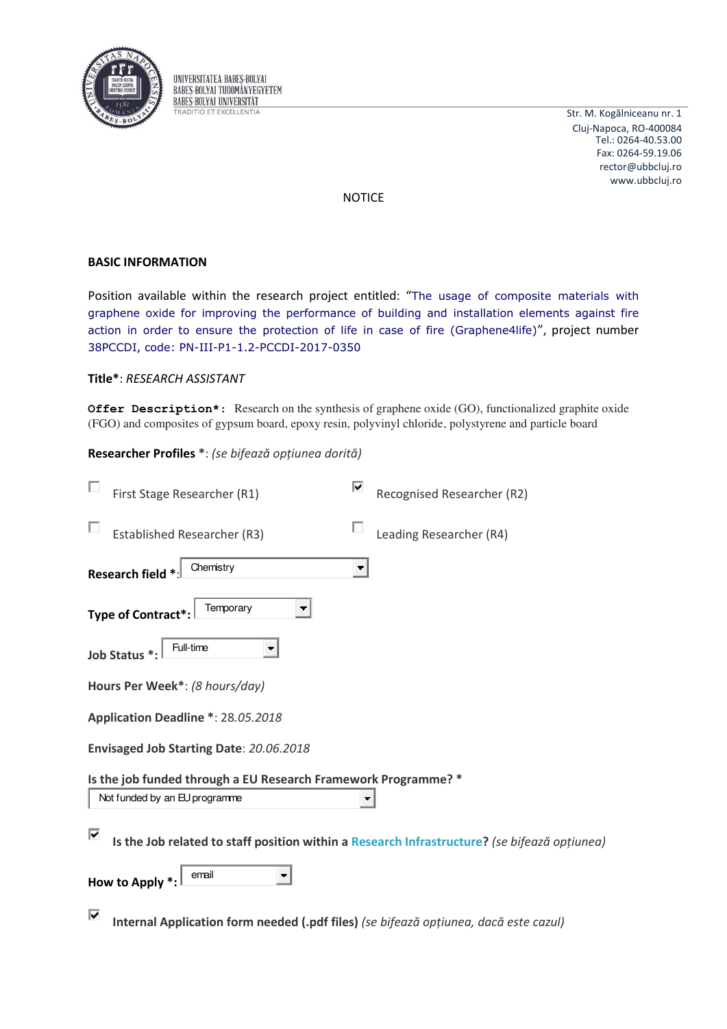

UNIVERSITATEA BABES-BOLYAI BABES-BOLYAL TUDOMÁNYEGYETEM **BABES-BOLYAI UNIVERSITAT TRADITIO ET EXCELLENTIA** 

Str. M. Kogălniceanu nr. 1 Cluj-Napoca, RO-400084 Tel.: 0264-40.53.00 Fax: 0264-59.19.06 rector@ubbcluj.ro www.ubbcluj.ro

**NOTICE** 

# **BASIC INFORMATION**

Position available within the research project entitled: "The usage of composite materials with graphene oxide for improving the performance of building and installation elements against fire action in order to ensure the protection of life in case of fire (Graphene4life)", project number 38PCCDI, code: PN-III-P1-1.2-PCCDI-2017-0350

# Title\*: RESEARCH ASSISTANT

**Offer Description\*:** Research on the synthesis of graphene oxide (GO), functionalized graphite oxide (FGO) and composites of gypsum board, epoxy resin, polyvinyl chloride, polystyrene and particle board

## Researcher Profiles \*: (se bifează opțiunea dorită)

| First Stage Researcher (R1)                                                                          | Recognised Researcher (R2) |  |  |
|------------------------------------------------------------------------------------------------------|----------------------------|--|--|
| <b>Established Researcher (R3)</b>                                                                   | Leading Researcher (R4)    |  |  |
| Chemistry<br>Research field *:                                                                       |                            |  |  |
| Temporary<br>٠<br>Type of Contract*:                                                                 |                            |  |  |
| Full-time<br>Job Status *:                                                                           |                            |  |  |
| Hours Per Week*: (8 hours/day)                                                                       |                            |  |  |
| Application Deadline *: 28.05.2018                                                                   |                            |  |  |
| Envisaged Job Starting Date: 20.06.2018                                                              |                            |  |  |
| Is the job funded through a EU Research Framework Programme? *<br>Not funded by an EU programme<br>▼ |                            |  |  |
| ⊽<br>Is the Job related to staff position within a Research Infrastructure? (se bifează opțiunea)    |                            |  |  |
| email<br>How to Apply *:                                                                             |                            |  |  |

⊽ Internal Application form needed (.pdf files) (se bifează optiunea, dacă este cazul)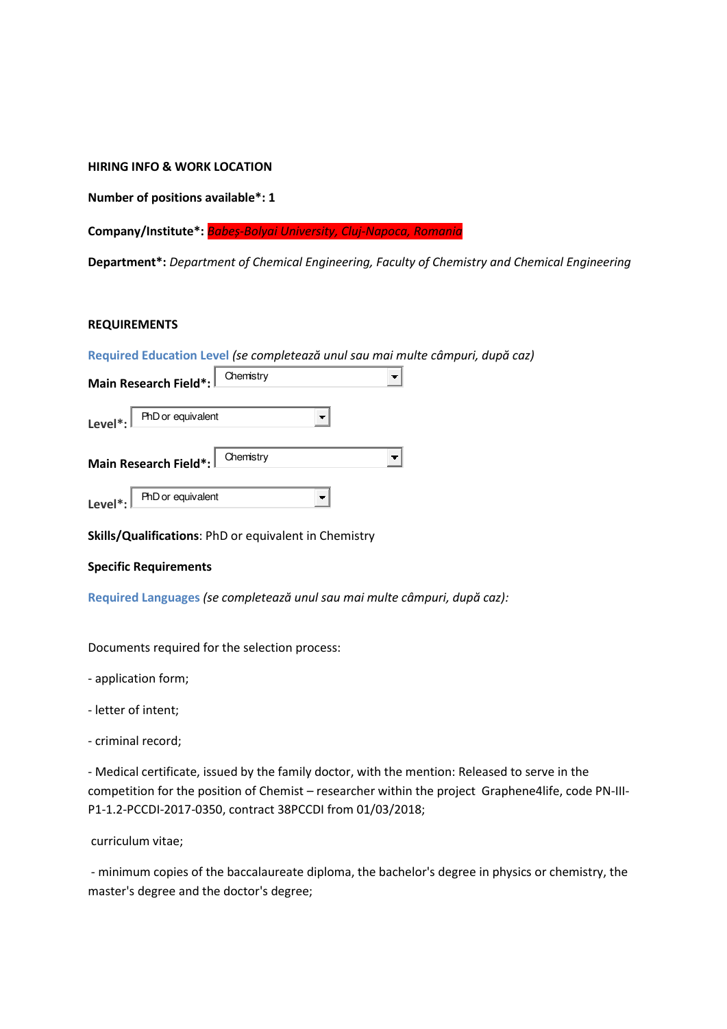### **HIRING INFO & WORK LOCATION**

**Number of positions available\*: 1** 

**Company/Institute\*:** *Baďeș-Bolyai University, Cluj-Napoca, Romania* 

**Department\*:** *Department of Chemical Engineering, Faculty of Chemistry and Chemical Engineering*

### **REQUIREMENTS**

|                                                                 |           | Required Education Level (se completează unul sau mai multe câmpuri, după caz) |
|-----------------------------------------------------------------|-----------|--------------------------------------------------------------------------------|
| Main Research Field*:                                           | Chemistry |                                                                                |
| Level *: $\left  \right $ PhD or equivalent                     |           |                                                                                |
| Main Research Field*: Chemistry                                 |           |                                                                                |
| Level <sup>*</sup> : $\boxed{\text{PhD} \text{ or equivalent}}$ |           |                                                                                |

**Skills/Qualifications**: PhD or equivalent in Chemistry

#### **Specific Requirements**

**Required Languages (se completează unul sau mai multe câmpuri, după caz):** 

Documents required for the selection process:

- application form;

- letter of intent;
- criminal record;

- Medical certificate, issued by the family doctor, with the mention: Released to serve in the competition for the position of Chemist – researcher within the project Graphene4life, code PN-III-P1-1.2-PCCDI-2017-0350, contract 38PCCDI from 01/03/2018;

curriculum vitae;

 - minimum copies of the baccalaureate diploma, the bachelor's degree in physics or chemistry, the master's degree and the doctor's degree;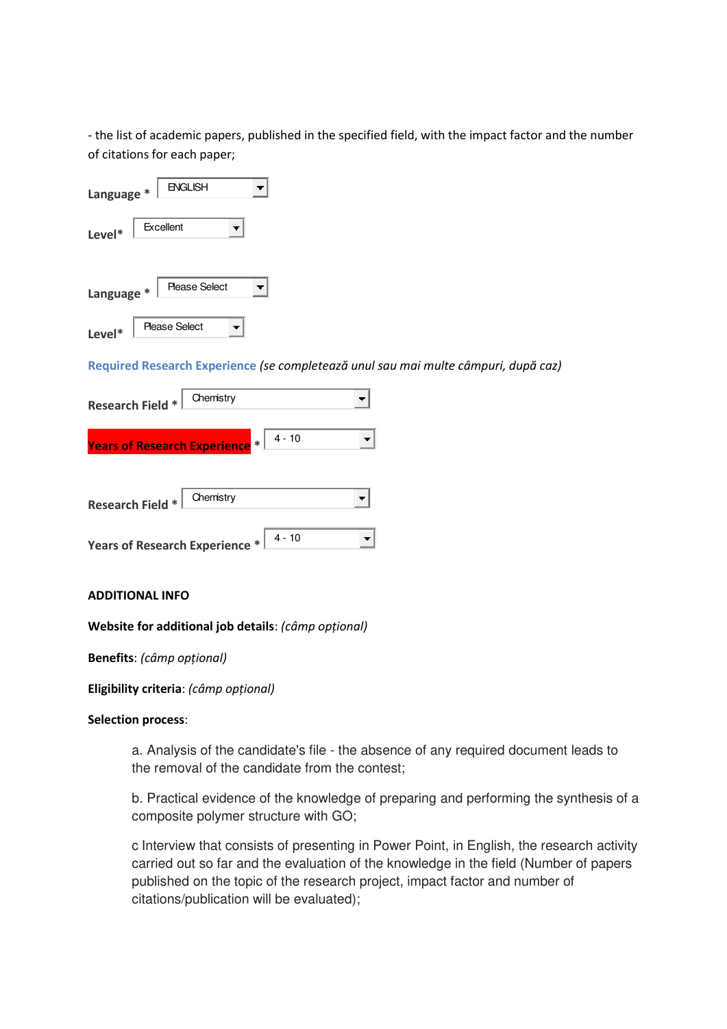- the list of academic papers, published in the specified field, with the impact factor and the number of citations for each paper;

| Language * | <b>ENGLISH</b>       |
|------------|----------------------|
| Level*     | Excellent            |
| Language * | <b>Please Select</b> |
| Level*     | <b>Please Select</b> |

**Required Research Experience (se completează unul sau mai multe câmpuri, după caz)** 

| Chemistry<br><b>Research Field *</b>                                                     |  |
|------------------------------------------------------------------------------------------|--|
| Years of Research Experience * 4 - 10                                                    |  |
| Chemistry<br><b>Research Field *</b>                                                     |  |
| <b>Years of Research Experience *</b> $\begin{bmatrix} 4 & -10 \\ -4 & 10 \end{bmatrix}$ |  |

### **ADDITIONAL INFO**

### **Website for additional job details**: *(câmp opțional)*

**Benefits**: (câmp opțional)

**Eligibility criteria**: (câmp opțional)

#### **Selection process**:

a. Analysis of the candidate's file - the absence of any required document leads to the removal of the candidate from the contest;

b. Practical evidence of the knowledge of preparing and performing the synthesis of a composite polymer structure with GO;

c Interview that consists of presenting in Power Point, in English, the research activity carried out so far and the evaluation of the knowledge in the field (Number of papers published on the topic of the research project, impact factor and number of citations/publication will be evaluated);